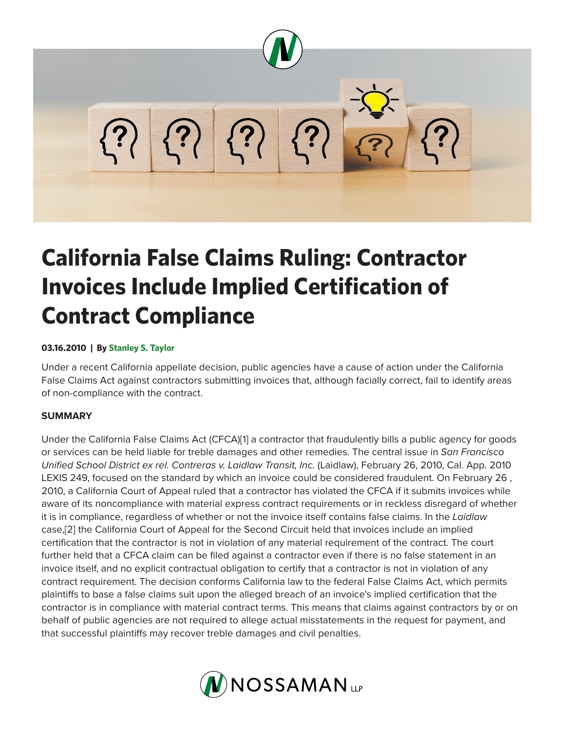

# **California False Claims Ruling: Contractor Invoices Include Implied Certification of Contract Compliance**

#### **03.16.2010 | By Stanley S. Taylor**

Under a recent California appellate decision, public agencies have a cause of action under the California False Claims Act against contractors submitting invoices that, although facially correct, fail to identify areas of non-compliance with the contract.

## **SUMMARY**

Under the California False Claims Act (CFCA)[1] a contractor that fraudulently bills a public agency for goods or services can be held liable for treble damages and other remedies. The central issue in *San Francisco Unified School District ex rel. Contreras v. Laidlaw Transit, Inc.* (Laidlaw), February 26, 2010, Cal. App. 2010 LEXIS 249, focused on the standard by which an invoice could be considered fraudulent. On February 26 , 2010, a California Court of Appeal ruled that a contractor has violated the CFCA if it submits invoices while aware of its noncompliance with material express contract requirements or in reckless disregard of whether it is in compliance, regardless of whether or not the invoice itself contains false claims. In the *Laidlaw* case,[2] the California Court of Appeal for the Second Circuit held that invoices include an implied certification that the contractor is not in violation of any material requirement of the contract. The court further held that a CFCA claim can be filed against a contractor even if there is no false statement in an invoice itself, and no explicit contractual obligation to certify that a contractor is not in violation of any contract requirement. The decision conforms California law to the federal False Claims Act, which permits plaintiffs to base a false claims suit upon the alleged breach of an invoice's implied certification that the contractor is in compliance with material contract terms. This means that claims against contractors by or on behalf of public agencies are not required to allege actual misstatements in the request for payment, and that successful plaintiffs may recover treble damages and civil penalties.

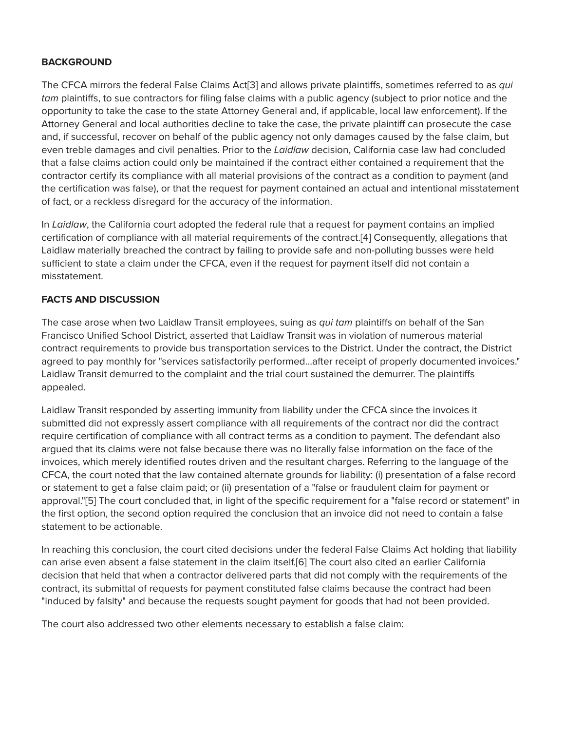#### **BACKGROUND**

The CFCA mirrors the federal False Claims Act[3] and allows private plaintiffs, sometimes referred to as *qui tam* plaintiffs, to sue contractors for filing false claims with a public agency (subject to prior notice and the opportunity to take the case to the state Attorney General and, if applicable, local law enforcement). If the Attorney General and local authorities decline to take the case, the private plaintiff can prosecute the case and, if successful, recover on behalf of the public agency not only damages caused by the false claim, but even treble damages and civil penalties. Prior to the *Laidlaw* decision, California case law had concluded that a false claims action could only be maintained if the contract either contained a requirement that the contractor certify its compliance with all material provisions of the contract as a condition to payment (and the certification was false), or that the request for payment contained an actual and intentional misstatement of fact, or a reckless disregard for the accuracy of the information.

In *Laidlaw*, the California court adopted the federal rule that a request for payment contains an implied certification of compliance with all material requirements of the contract.[4] Consequently, allegations that Laidlaw materially breached the contract by failing to provide safe and non-polluting busses were held sufficient to state a claim under the CFCA, even if the request for payment itself did not contain a misstatement.

## **FACTS AND DISCUSSION**

The case arose when two Laidlaw Transit employees, suing as *qui tam* plaintiffs on behalf of the San Francisco Unified School District, asserted that Laidlaw Transit was in violation of numerous material contract requirements to provide bus transportation services to the District. Under the contract, the District agreed to pay monthly for "services satisfactorily performed...after receipt of properly documented invoices." Laidlaw Transit demurred to the complaint and the trial court sustained the demurrer. The plaintiffs appealed.

Laidlaw Transit responded by asserting immunity from liability under the CFCA since the invoices it submitted did not expressly assert compliance with all requirements of the contract nor did the contract require certification of compliance with all contract terms as a condition to payment. The defendant also argued that its claims were not false because there was no literally false information on the face of the invoices, which merely identified routes driven and the resultant charges. Referring to the language of the CFCA, the court noted that the law contained alternate grounds for liability: (i) presentation of a false record or statement to get a false claim paid; or (ii) presentation of a "false or fraudulent claim for payment or approval."[5] The court concluded that, in light of the specific requirement for a "false record or statement" in the first option, the second option required the conclusion that an invoice did not need to contain a false statement to be actionable.

In reaching this conclusion, the court cited decisions under the federal False Claims Act holding that liability can arise even absent a false statement in the claim itself.[6] The court also cited an earlier California decision that held that when a contractor delivered parts that did not comply with the requirements of the contract, its submittal of requests for payment constituted false claims because the contract had been "induced by falsity" and because the requests sought payment for goods that had not been provided.

The court also addressed two other elements necessary to establish a false claim: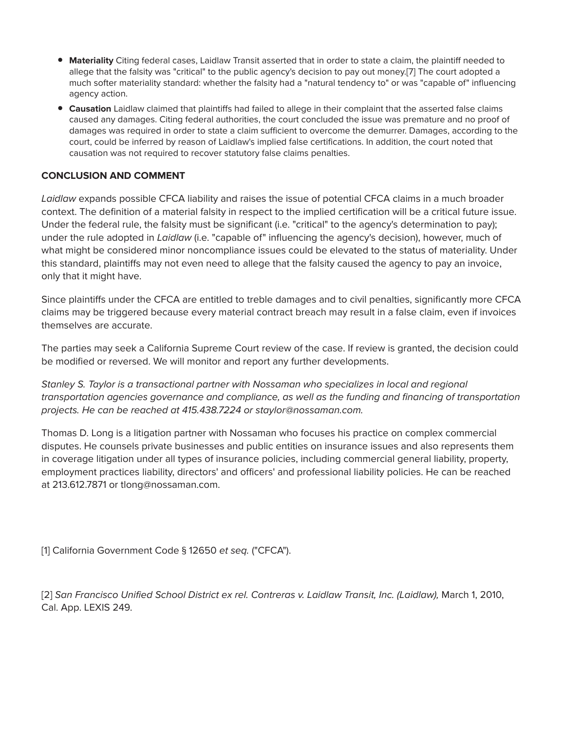- **Materiality** Citing federal cases, Laidlaw Transit asserted that in order to state a claim, the plaintiff needed to allege that the falsity was "critical" to the public agency's decision to pay out money.[7] The court adopted a much softer materiality standard: whether the falsity had a "natural tendency to" or was "capable of" influencing agency action.
- **Causation** Laidlaw claimed that plaintiffs had failed to allege in their complaint that the asserted false claims caused any damages. Citing federal authorities, the court concluded the issue was premature and no proof of damages was required in order to state a claim sufficient to overcome the demurrer. Damages, according to the court, could be inferred by reason of Laidlaw's implied false certifications. In addition, the court noted that causation was not required to recover statutory false claims penalties.

# **CONCLUSION AND COMMENT**

*Laidlaw* expands possible CFCA liability and raises the issue of potential CFCA claims in a much broader context. The definition of a material falsity in respect to the implied certification will be a critical future issue. Under the federal rule, the falsity must be significant (i.e. "critical" to the agency's determination to pay); under the rule adopted in *Laidlaw* (i.e. "capable of" influencing the agency's decision), however, much of what might be considered minor noncompliance issues could be elevated to the status of materiality. Under this standard, plaintiffs may not even need to allege that the falsity caused the agency to pay an invoice, only that it might have.

Since plaintiffs under the CFCA are entitled to treble damages and to civil penalties, significantly more CFCA claims may be triggered because every material contract breach may result in a false claim, even if invoices themselves are accurate.

The parties may seek a California Supreme Court review of the case. If review is granted, the decision could be modified or reversed. We will monitor and report any further developments.

*Stanley S. Taylor is a transactional partner with Nossaman who specializes in local and regional transportation agencies governance and compliance, as well as the funding and financing of transportation projects. He can be reached at 415.438.7224 or staylor@nossaman.com.*

Thomas D. Long is a litigation partner with Nossaman who focuses his practice on complex commercial disputes. He counsels private businesses and public entities on insurance issues and also represents them in coverage litigation under all types of insurance policies, including commercial general liability, property, employment practices liability, directors' and officers' and professional liability policies. He can be reached at 213.612.7871 or tlong@nossaman.com.

[1] California Government Code § 12650 *et seq.* ("CFCA").

[2] *San Francisco Unified School District ex rel. Contreras v. Laidlaw Transit, Inc. (Laidlaw),* March 1, 2010, Cal. App. LEXIS 249.